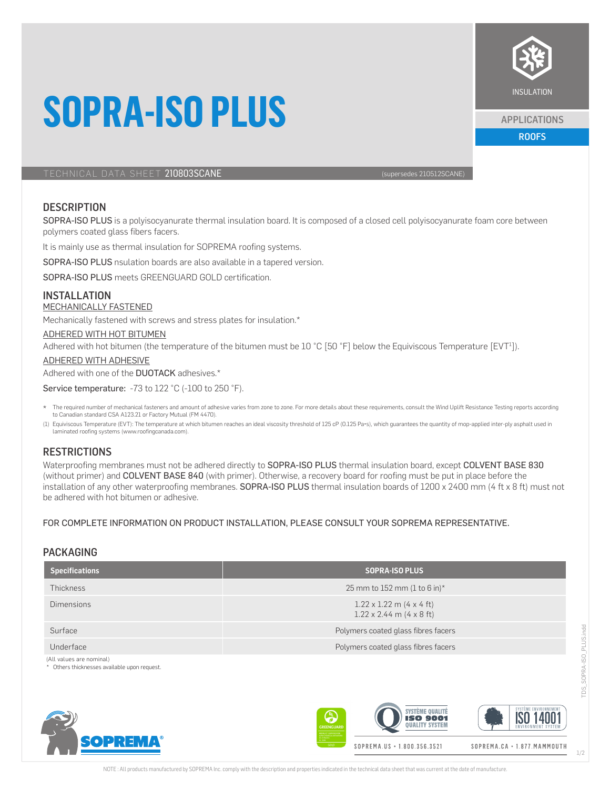# **SOPRA-ISO PLUS**

TECHNICAL DATA SHEET 210803SCANE (supersedes 210512SCANE)

# **DESCRIPTION**

SOPRA-ISO PLUS is a polyisocyanurate thermal insulation board. It is composed of a closed cell polyisocyanurate foam core between polymers coated glass fibers facers.

It is mainly use as thermal insulation for SOPREMA roofing systems.

SOPRA-ISO PLUS nsulation boards are also available in a tapered version.

SOPRA-ISO PLUS meets GREENGUARD GOLD certification.

# INSTALLATION

#### MECHANICALLY FASTENED

Mechanically fastened with screws and stress plates for insulation.\*

#### ADHERED WITH HOT BITUMEN

Adhered with hot bitumen (the temperature of the bitumen must be 10 °C [50 °F] below the Equiviscous Temperature [EVT<sup>1</sup>]).

ADHERED WITH ADHESIVE

#### Adhered with one of the DUOTACK adhesives.\*

**OPREMA** 

Service temperature: -73 to 122 °C (-100 to 250 °F).

- The required number of mechanical fasteners and amount of adhesive varies from zone to zone. For more details about these requirements, consult the Wind Uplift Resistance Testing reports according to Canadian standard CSA A123.21 or Factory Mutual (FM 4470).
- (1) Equiviscous Temperature (EVT): The temperature at which bitumen reaches an ideal viscosity threshold of 125 oP (0.125 Pa•s), which guarantees the quantity of mop-applied inter-ply asphalt used in laminated roofing systems (www.roofingcanada.com).

### **RESTRICTIONS**

Waterproofing membranes must not be adhered directly to SOPRA-ISO PLUS thermal insulation board, except COLVENT BASE 830 (without primer) and COLVENT BASE 840 (with primer). Otherwise, a recovery board for roofing must be put in place before the installation of any other waterproofing membranes. SOPRA-ISO PLUS thermal insulation boards of 1200 x 2400 mm (4 ft x 8 ft) must not be adhered with hot bitumen or adhesive.

#### FOR COMPLETE INFORMATION ON PRODUCT INSTALLATION, PLEASE CONSULT YOUR SOPREMA REPRESENTATIVE.

### PACKAGING

| <b>Specifications</b>                                                  | <b>SOPRA-ISO PLUS</b>                                              |  |  |
|------------------------------------------------------------------------|--------------------------------------------------------------------|--|--|
| <b>Thickness</b>                                                       | 25 mm to 152 mm (1 to 6 in)*                                       |  |  |
| <b>Dimensions</b>                                                      | $1.22 \times 1.22$ m (4 x 4 ft)<br>$1.22 \times 2.44$ m (4 x 8 ft) |  |  |
| Surface                                                                | Polymers coated glass fibres facers                                |  |  |
| Underface                                                              | Polymers coated glass fibres facers                                |  |  |
| (All values are nominal)<br>Others thicknesses available upon request. |                                                                    |  |  |





SOPREMA.CA · 1.877. MAMMOUTH



ROOFS APPLICATIONS